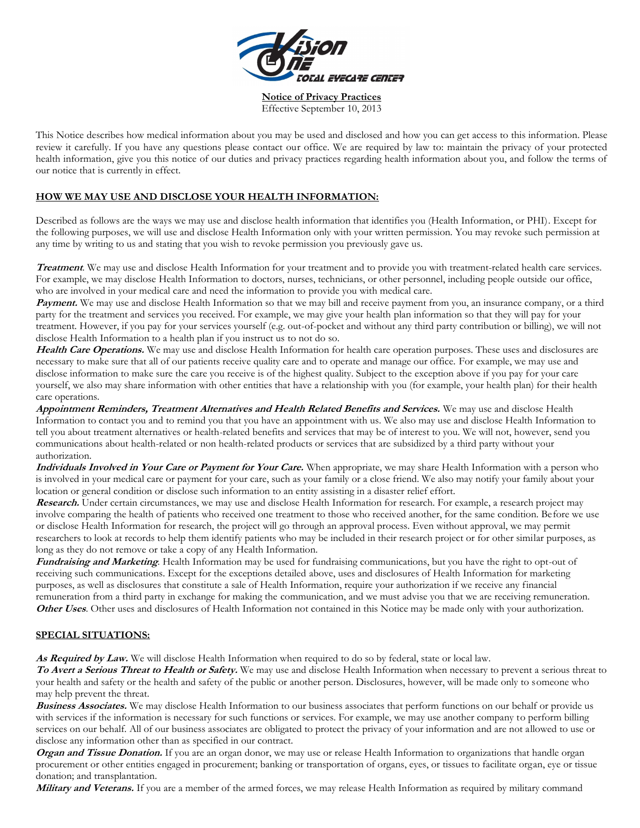

**Notice of Privacy Practices** Effective September 10, 2013

This Notice describes how medical information about you may be used and disclosed and how you can get access to this information. Please review it carefully. If you have any questions please contact our office. We are required by law to: maintain the privacy of your protected health information, give you this notice of our duties and privacy practices regarding health information about you, and follow the terms of our notice that is currently in effect.

## **HOW WE MAY USE AND DISCLOSE YOUR HEALTH INFORMATION:**

Described as follows are the ways we may use and disclose health information that identifies you (Health Information, or PHI). Except for the following purposes, we will use and disclose Health Information only with your written permission. You may revoke such permission at any time by writing to us and stating that you wish to revoke permission you previously gave us.

**Treatment**. We may use and disclose Health Information for your treatment and to provide you with treatment-related health care services. For example, we may disclose Health Information to doctors, nurses, technicians, or other personnel, including people outside our office, who are involved in your medical care and need the information to provide you with medical care.

**Payment.** We may use and disclose Health Information so that we may bill and receive payment from you, an insurance company, or a third party for the treatment and services you received. For example, we may give your health plan information so that they will pay for your treatment. However, if you pay for your services yourself (e.g. out-of-pocket and without any third party contribution or billing), we will not disclose Health Information to a health plan if you instruct us to not do so.

Health Care Operations. We may use and disclose Health Information for health care operation purposes. These uses and disclosures are necessary to make sure that all of our patients receive quality care and to operate and manage our office. For example, we may use and disclose information to make sure the care you receive is of the highest quality. Subject to the exception above if you pay for your care yourself, we also may share information with other entities that have a relationship with you (for example, your health plan) for their health care operations.

**Appointment Reminders, Treatment Alternatives and Health Related Benefits and Services.** We may use and disclose Health Information to contact you and to remind you that you have an appointment with us. We also may use and disclose Health Information to tell you about treatment alternatives or health-related benefits and services that may be of interest to you. We will not, however, send you communications about health-related or non health-related products or services that are subsidized by a third party without your authorization.

**Individuals Involved in Your Care or Payment for Your Care.** When appropriate, we may share Health Information with a person who is involved in your medical care or payment for your care, such as your family or a close friend. We also may notify your family about your location or general condition or disclose such information to an entity assisting in a disaster relief effort.

**Research.** Under certain circumstances, we may use and disclose Health Information for research. For example, a research project may involve comparing the health of patients who received one treatment to those who received another, for the same condition. Before we use or disclose Health Information for research, the project will go through an approval process. Even without approval, we may permit researchers to look at records to help them identify patients who may be included in their research project or for other similar purposes, as long as they do not remove or take a copy of any Health Information.

**Fundraising and Marketing**. Health Information may be used for fundraising communications, but you have the right to opt-out of receiving such communications. Except for the exceptions detailed above, uses and disclosures of Health Information for marketing purposes, as well as disclosures that constitute a sale of Health Information, require your authorization if we receive any financial remuneration from a third party in exchange for making the communication, and we must advise you that we are receiving remuneration. **Other Uses**. Other uses and disclosures of Health Information not contained in this Notice may be made only with your authorization.

## **SPECIAL SITUATIONS:**

**As Required by Law.** We will disclose Health Information when required to do so by federal, state or local law.

**To Avert a Serious Threat to Health or Safety.** We may use and disclose Health Information when necessary to prevent a serious threat to your health and safety or the health and safety of the public or another person. Disclosures, however, will be made only to someone who may help prevent the threat.

**Business Associates.** We may disclose Health Information to our business associates that perform functions on our behalf or provide us with services if the information is necessary for such functions or services. For example, we may use another company to perform billing services on our behalf. All of our business associates are obligated to protect the privacy of your information and are not allowed to use or disclose any information other than as specified in our contract.

**Organ and Tissue Donation.** If you are an organ donor, we may use or release Health Information to organizations that handle organ procurement or other entities engaged in procurement; banking or transportation of organs, eyes, or tissues to facilitate organ, eye or tissue donation; and transplantation.

Military and Veterans. If you are a member of the armed forces, we may release Health Information as required by military command